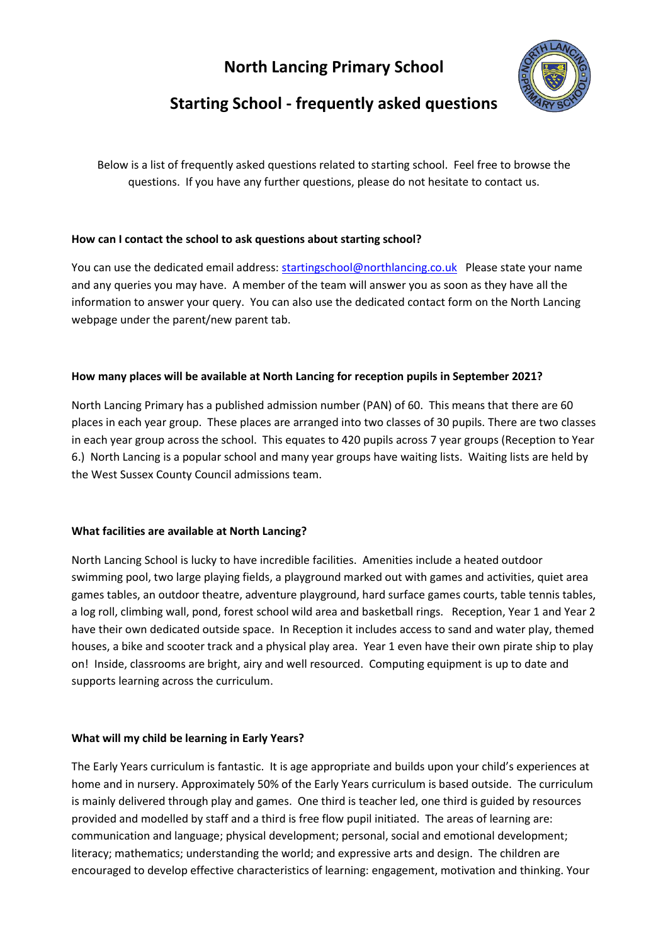## **North Lancing Primary School**



# **Starting School - frequently asked questions**

Below is a list of frequently asked questions related to starting school. Feel free to browse the questions. If you have any further questions, please do not hesitate to contact us.

## **How can I contact the school to ask questions about starting school?**

You can use the dedicated email address: [startingschool@northlancing.co.uk](mailto:startingschool@northlancing.co.uk) Please state your name and any queries you may have. A member of the team will answer you as soon as they have all the information to answer your query. You can also use the dedicated contact form on the North Lancing webpage under the parent/new parent tab.

## **How many places will be available at North Lancing for reception pupils in September 2021?**

North Lancing Primary has a published admission number (PAN) of 60. This means that there are 60 places in each year group. These places are arranged into two classes of 30 pupils. There are two classes in each year group across the school. This equates to 420 pupils across 7 year groups (Reception to Year 6.) North Lancing is a popular school and many year groups have waiting lists. Waiting lists are held by the West Sussex County Council admissions team.

## **What facilities are available at North Lancing?**

North Lancing School is lucky to have incredible facilities. Amenities include a heated outdoor swimming pool, two large playing fields, a playground marked out with games and activities, quiet area games tables, an outdoor theatre, adventure playground, hard surface games courts, table tennis tables, a log roll, climbing wall, pond, forest school wild area and basketball rings. Reception, Year 1 and Year 2 have their own dedicated outside space. In Reception it includes access to sand and water play, themed houses, a bike and scooter track and a physical play area. Year 1 even have their own pirate ship to play on! Inside, classrooms are bright, airy and well resourced. Computing equipment is up to date and supports learning across the curriculum.

## **What will my child be learning in Early Years?**

The Early Years curriculum is fantastic. It is age appropriate and builds upon your child's experiences at home and in nursery. Approximately 50% of the Early Years curriculum is based outside. The curriculum is mainly delivered through play and games. One third is teacher led, one third is guided by resources provided and modelled by staff and a third is free flow pupil initiated. The areas of learning are: communication and language; physical development; personal, social and emotional development; literacy; mathematics; understanding the world; and expressive arts and design. The children are encouraged to develop effective characteristics of learning: engagement, motivation and thinking. Your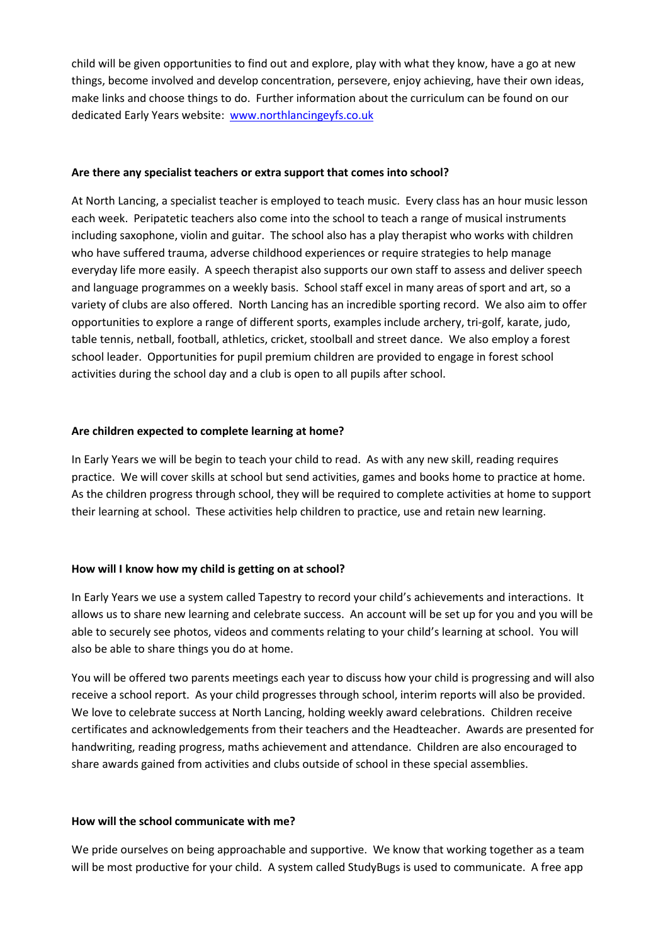child will be given opportunities to find out and explore, play with what they know, have a go at new things, become involved and develop concentration, persevere, enjoy achieving, have their own ideas, make links and choose things to do. Further information about the curriculum can be found on our dedicated Early Years website: [www.northlancingeyfs.co.uk](http://www.northlancingeyfs.co.uk/)

#### **Are there any specialist teachers or extra support that comes into school?**

At North Lancing, a specialist teacher is employed to teach music. Every class has an hour music lesson each week. Peripatetic teachers also come into the school to teach a range of musical instruments including saxophone, violin and guitar. The school also has a play therapist who works with children who have suffered trauma, adverse childhood experiences or require strategies to help manage everyday life more easily. A speech therapist also supports our own staff to assess and deliver speech and language programmes on a weekly basis. School staff excel in many areas of sport and art, so a variety of clubs are also offered. North Lancing has an incredible sporting record. We also aim to offer opportunities to explore a range of different sports, examples include archery, tri-golf, karate, judo, table tennis, netball, football, athletics, cricket, stoolball and street dance. We also employ a forest school leader. Opportunities for pupil premium children are provided to engage in forest school activities during the school day and a club is open to all pupils after school.

#### **Are children expected to complete learning at home?**

In Early Years we will be begin to teach your child to read. As with any new skill, reading requires practice. We will cover skills at school but send activities, games and books home to practice at home. As the children progress through school, they will be required to complete activities at home to support their learning at school. These activities help children to practice, use and retain new learning.

## **How will I know how my child is getting on at school?**

In Early Years we use a system called Tapestry to record your child's achievements and interactions. It allows us to share new learning and celebrate success. An account will be set up for you and you will be able to securely see photos, videos and comments relating to your child's learning at school. You will also be able to share things you do at home.

You will be offered two parents meetings each year to discuss how your child is progressing and will also receive a school report. As your child progresses through school, interim reports will also be provided. We love to celebrate success at North Lancing, holding weekly award celebrations. Children receive certificates and acknowledgements from their teachers and the Headteacher. Awards are presented for handwriting, reading progress, maths achievement and attendance. Children are also encouraged to share awards gained from activities and clubs outside of school in these special assemblies.

#### **How will the school communicate with me?**

We pride ourselves on being approachable and supportive. We know that working together as a team will be most productive for your child. A system called StudyBugs is used to communicate. A free app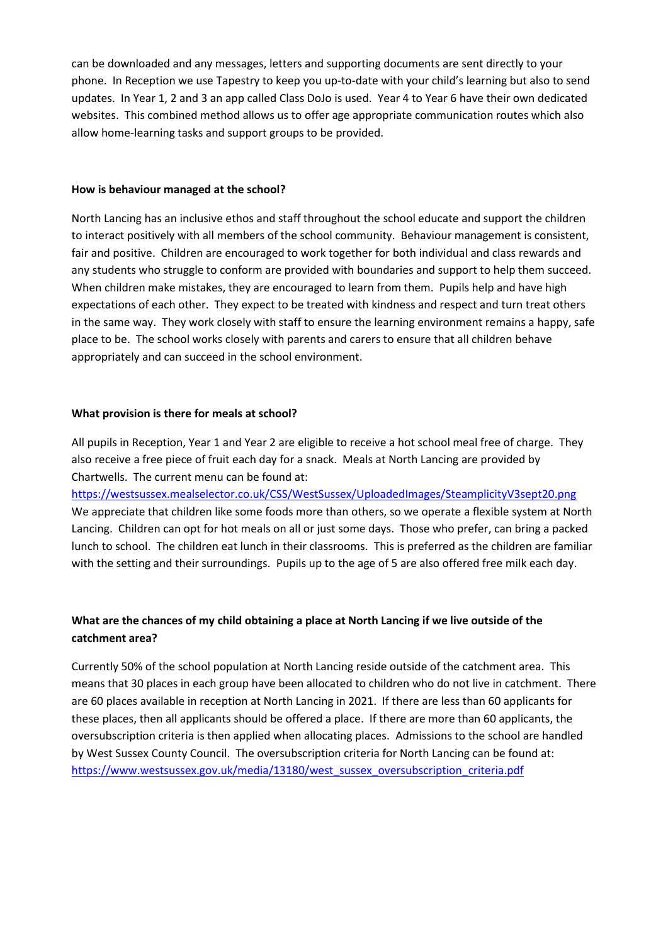can be downloaded and any messages, letters and supporting documents are sent directly to your phone. In Reception we use Tapestry to keep you up-to-date with your child's learning but also to send updates. In Year 1, 2 and 3 an app called Class DoJo is used. Year 4 to Year 6 have their own dedicated websites. This combined method allows us to offer age appropriate communication routes which also allow home-learning tasks and support groups to be provided.

#### **How is behaviour managed at the school?**

North Lancing has an inclusive ethos and staff throughout the school educate and support the children to interact positively with all members of the school community. Behaviour management is consistent, fair and positive. Children are encouraged to work together for both individual and class rewards and any students who struggle to conform are provided with boundaries and support to help them succeed. When children make mistakes, they are encouraged to learn from them. Pupils help and have high expectations of each other. They expect to be treated with kindness and respect and turn treat others in the same way. They work closely with staff to ensure the learning environment remains a happy, safe place to be. The school works closely with parents and carers to ensure that all children behave appropriately and can succeed in the school environment.

#### **What provision is there for meals at school?**

All pupils in Reception, Year 1 and Year 2 are eligible to receive a hot school meal free of charge. They also receive a free piece of fruit each day for a snack. Meals at North Lancing are provided by Chartwells. The current menu can be found at:

<https://westsussex.mealselector.co.uk/CSS/WestSussex/UploadedImages/SteamplicityV3sept20.png> We appreciate that children like some foods more than others, so we operate a flexible system at North Lancing. Children can opt for hot meals on all or just some days. Those who prefer, can bring a packed lunch to school. The children eat lunch in their classrooms. This is preferred as the children are familiar with the setting and their surroundings. Pupils up to the age of 5 are also offered free milk each day.

## **What are the chances of my child obtaining a place at North Lancing if we live outside of the catchment area?**

Currently 50% of the school population at North Lancing reside outside of the catchment area. This means that 30 places in each group have been allocated to children who do not live in catchment. There are 60 places available in reception at North Lancing in 2021. If there are less than 60 applicants for these places, then all applicants should be offered a place. If there are more than 60 applicants, the oversubscription criteria is then applied when allocating places. Admissions to the school are handled by West Sussex County Council. The oversubscription criteria for North Lancing can be found at: [https://www.westsussex.gov.uk/media/13180/west\\_sussex\\_oversubscription\\_criteria.pdf](https://www.westsussex.gov.uk/media/13180/west_sussex_oversubscription_criteria.pdf)